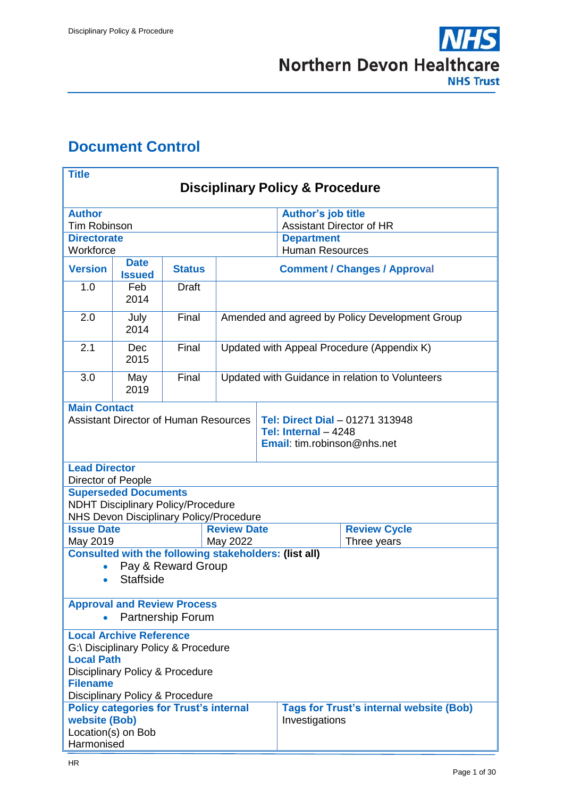

# <span id="page-0-0"></span>**Document Control**

| <b>Title</b>                                         |                             |                                                              |                                                 |                                                                                        |                                                |                     |  |  |
|------------------------------------------------------|-----------------------------|--------------------------------------------------------------|-------------------------------------------------|----------------------------------------------------------------------------------------|------------------------------------------------|---------------------|--|--|
| <b>Disciplinary Policy &amp; Procedure</b>           |                             |                                                              |                                                 |                                                                                        |                                                |                     |  |  |
| <b>Author</b>                                        |                             |                                                              |                                                 |                                                                                        | <b>Author's job title</b>                      |                     |  |  |
| <b>Tim Robinson</b>                                  |                             |                                                              |                                                 |                                                                                        | <b>Assistant Director of HR</b>                |                     |  |  |
| <b>Directorate</b><br>Workforce                      |                             |                                                              |                                                 | <b>Department</b>                                                                      |                                                |                     |  |  |
|                                                      | <b>Date</b>                 |                                                              |                                                 | <b>Human Resources</b>                                                                 |                                                |                     |  |  |
| <b>Version</b>                                       | <b>Issued</b>               | <b>Status</b>                                                | <b>Comment / Changes / Approval</b>             |                                                                                        |                                                |                     |  |  |
| 1.0                                                  | Feb<br>2014                 | <b>Draft</b>                                                 |                                                 |                                                                                        |                                                |                     |  |  |
| 2.0                                                  | July<br>2014                | Final                                                        | Amended and agreed by Policy Development Group  |                                                                                        |                                                |                     |  |  |
| 2.1                                                  | <b>Dec</b><br>2015          | Final                                                        | Updated with Appeal Procedure (Appendix K)      |                                                                                        |                                                |                     |  |  |
| 3.0                                                  | May<br>2019                 | Final                                                        | Updated with Guidance in relation to Volunteers |                                                                                        |                                                |                     |  |  |
| <b>Main Contact</b>                                  |                             |                                                              |                                                 |                                                                                        |                                                |                     |  |  |
| <b>Assistant Director of Human Resources</b>         |                             |                                                              |                                                 | Tel: Direct Dial - 01271 313948<br>Tel: Internal - 4248<br>Email: tim.robinson@nhs.net |                                                |                     |  |  |
| <b>Lead Director</b><br>Director of People           |                             |                                                              |                                                 |                                                                                        |                                                |                     |  |  |
|                                                      | <b>Superseded Documents</b> |                                                              |                                                 |                                                                                        |                                                |                     |  |  |
|                                                      |                             | <b>NDHT Disciplinary Policy/Procedure</b>                    |                                                 |                                                                                        |                                                |                     |  |  |
| <b>Issue Date</b>                                    |                             | NHS Devon Disciplinary Policy/Procedure                      | <b>Review Date</b>                              |                                                                                        |                                                | <b>Review Cycle</b> |  |  |
| May 2019                                             |                             |                                                              | May 2022                                        |                                                                                        |                                                | Three years         |  |  |
|                                                      |                             | <b>Consulted with the following stakeholders: (list all)</b> |                                                 |                                                                                        |                                                |                     |  |  |
|                                                      |                             | Pay & Reward Group                                           |                                                 |                                                                                        |                                                |                     |  |  |
| $\bullet$                                            | <b>Staffside</b>            |                                                              |                                                 |                                                                                        |                                                |                     |  |  |
|                                                      |                             | <b>Approval and Review Process</b>                           |                                                 |                                                                                        |                                                |                     |  |  |
| <b>Partnership Forum</b>                             |                             |                                                              |                                                 |                                                                                        |                                                |                     |  |  |
| <b>Local Archive Reference</b>                       |                             |                                                              |                                                 |                                                                                        |                                                |                     |  |  |
| G:\ Disciplinary Policy & Procedure                  |                             |                                                              |                                                 |                                                                                        |                                                |                     |  |  |
| <b>Local Path</b><br>Disciplinary Policy & Procedure |                             |                                                              |                                                 |                                                                                        |                                                |                     |  |  |
| <b>Filename</b>                                      |                             |                                                              |                                                 |                                                                                        |                                                |                     |  |  |
| Disciplinary Policy & Procedure                      |                             |                                                              |                                                 |                                                                                        |                                                |                     |  |  |
| <b>Policy categories for Trust's internal</b>        |                             |                                                              |                                                 |                                                                                        | <b>Tags for Trust's internal website (Bob)</b> |                     |  |  |
| <b>website (Bob)</b><br>Location(s) on Bob           |                             |                                                              |                                                 | Investigations                                                                         |                                                |                     |  |  |
| Harmonised                                           |                             |                                                              |                                                 |                                                                                        |                                                |                     |  |  |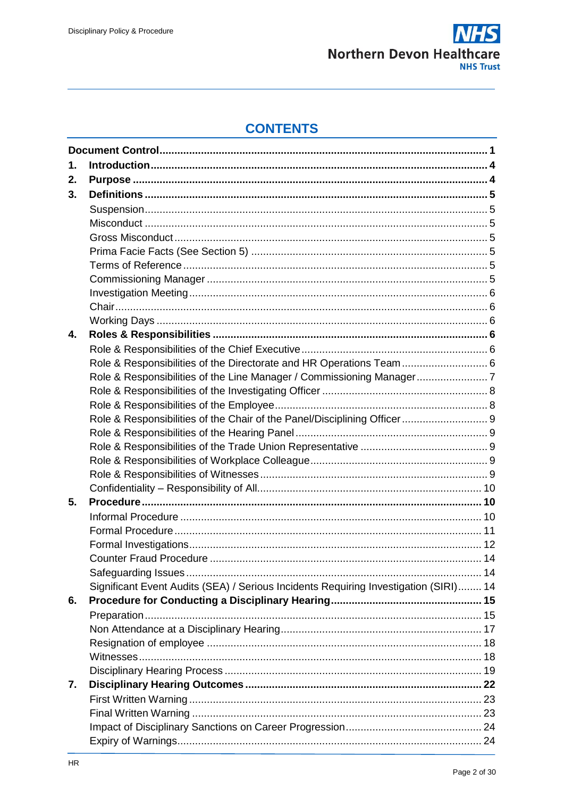

# **CONTENTS**

| 1. |                                                                                      |  |
|----|--------------------------------------------------------------------------------------|--|
| 2. |                                                                                      |  |
| 3. |                                                                                      |  |
|    |                                                                                      |  |
|    |                                                                                      |  |
|    |                                                                                      |  |
|    |                                                                                      |  |
|    |                                                                                      |  |
|    |                                                                                      |  |
|    |                                                                                      |  |
|    |                                                                                      |  |
|    |                                                                                      |  |
| 4. |                                                                                      |  |
|    |                                                                                      |  |
|    | Role & Responsibilities of the Directorate and HR Operations Team  6                 |  |
|    |                                                                                      |  |
|    |                                                                                      |  |
|    |                                                                                      |  |
|    | Role & Responsibilities of the Chair of the Panel/Disciplining Officer 9             |  |
|    |                                                                                      |  |
|    |                                                                                      |  |
|    |                                                                                      |  |
|    |                                                                                      |  |
|    |                                                                                      |  |
| 5. |                                                                                      |  |
|    |                                                                                      |  |
|    |                                                                                      |  |
|    |                                                                                      |  |
|    |                                                                                      |  |
|    |                                                                                      |  |
|    | Significant Event Audits (SEA) / Serious Incidents Requiring Investigation (SIRI) 14 |  |
| 6. |                                                                                      |  |
|    |                                                                                      |  |
|    |                                                                                      |  |
|    |                                                                                      |  |
|    |                                                                                      |  |
|    |                                                                                      |  |
| 7. |                                                                                      |  |
|    |                                                                                      |  |
|    |                                                                                      |  |
|    |                                                                                      |  |
|    |                                                                                      |  |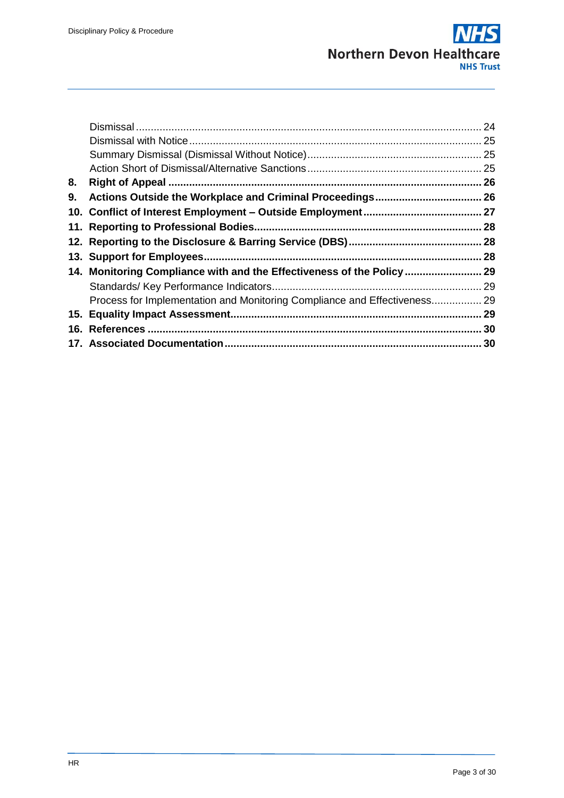|    |                                                                           | 24 |
|----|---------------------------------------------------------------------------|----|
|    |                                                                           | 25 |
|    |                                                                           |    |
|    |                                                                           |    |
| 8. |                                                                           |    |
| 9. |                                                                           |    |
|    |                                                                           |    |
|    |                                                                           |    |
|    |                                                                           |    |
|    |                                                                           |    |
|    | 14. Monitoring Compliance with and the Effectiveness of the Policy        |    |
|    |                                                                           |    |
|    | Process for Implementation and Monitoring Compliance and Effectiveness 29 |    |
|    |                                                                           | 29 |
|    |                                                                           |    |
|    |                                                                           |    |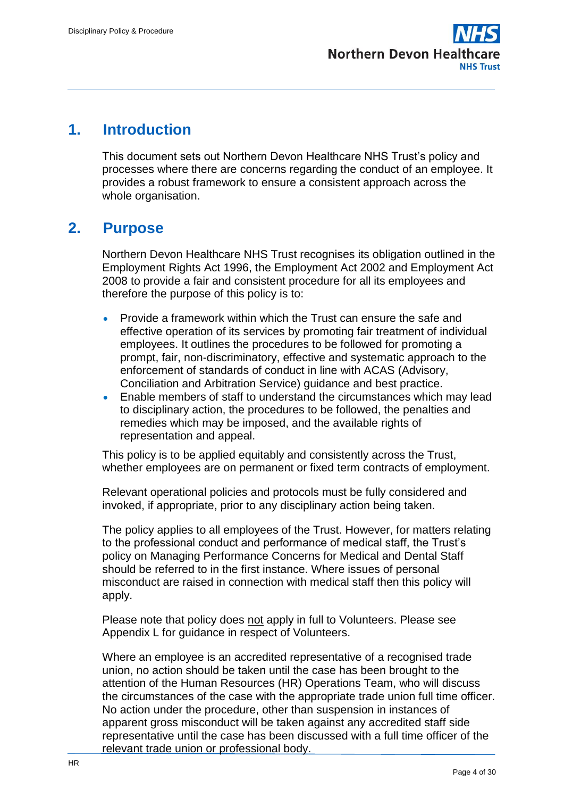

# <span id="page-3-0"></span>**1. Introduction**

This document sets out Northern Devon Healthcare NHS Trust's policy and processes where there are concerns regarding the conduct of an employee. It provides a robust framework to ensure a consistent approach across the whole organisation.

# <span id="page-3-1"></span>**2. Purpose**

Northern Devon Healthcare NHS Trust recognises its obligation outlined in the Employment Rights Act 1996, the Employment Act 2002 and Employment Act 2008 to provide a fair and consistent procedure for all its employees and therefore the purpose of this policy is to:

- Provide a framework within which the Trust can ensure the safe and effective operation of its services by promoting fair treatment of individual employees. It outlines the procedures to be followed for promoting a prompt, fair, non-discriminatory, effective and systematic approach to the enforcement of standards of conduct in line with ACAS (Advisory, Conciliation and Arbitration Service) guidance and best practice.
- Enable members of staff to understand the circumstances which may lead to disciplinary action, the procedures to be followed, the penalties and remedies which may be imposed, and the available rights of representation and appeal.

This policy is to be applied equitably and consistently across the Trust, whether employees are on permanent or fixed term contracts of employment.

Relevant operational policies and protocols must be fully considered and invoked, if appropriate, prior to any disciplinary action being taken.

The policy applies to all employees of the Trust. However, for matters relating to the professional conduct and performance of medical staff, the Trust's policy on Managing Performance Concerns for Medical and Dental Staff should be referred to in the first instance. Where issues of personal misconduct are raised in connection with medical staff then this policy will apply.

Please note that policy does not apply in full to Volunteers. Please see Appendix L for guidance in respect of Volunteers.

Where an employee is an accredited representative of a recognised trade union, no action should be taken until the case has been brought to the attention of the Human Resources (HR) Operations Team, who will discuss the circumstances of the case with the appropriate trade union full time officer. No action under the procedure, other than suspension in instances of apparent gross misconduct will be taken against any accredited staff side representative until the case has been discussed with a full time officer of the relevant trade union or professional body.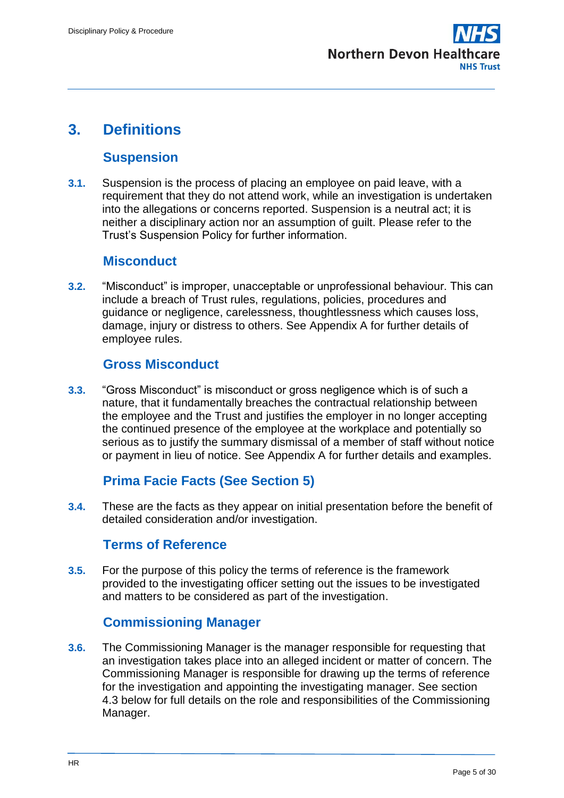

# <span id="page-4-0"></span>**3. Definitions**

## **Suspension**

<span id="page-4-1"></span>**3.1.** Suspension is the process of placing an employee on paid leave, with a requirement that they do not attend work, while an investigation is undertaken into the allegations or concerns reported. Suspension is a neutral act; it is neither a disciplinary action nor an assumption of guilt. Please refer to the Trust's Suspension Policy for further information.

## **Misconduct**

<span id="page-4-2"></span>**3.2.** "Misconduct" is improper, unacceptable or unprofessional behaviour. This can include a breach of Trust rules, regulations, policies, procedures and guidance or negligence, carelessness, thoughtlessness which causes loss, damage, injury or distress to others. See Appendix A for further details of employee rules.

## **Gross Misconduct**

<span id="page-4-3"></span>**3.3.** "Gross Misconduct" is misconduct or gross negligence which is of such a nature, that it fundamentally breaches the contractual relationship between the employee and the Trust and justifies the employer in no longer accepting the continued presence of the employee at the workplace and potentially so serious as to justify the summary dismissal of a member of staff without notice or payment in lieu of notice. See Appendix A for further details and examples.

## **Prima Facie Facts (See Section 5)**

<span id="page-4-4"></span>**3.4.** These are the facts as they appear on initial presentation before the benefit of detailed consideration and/or investigation.

## **Terms of Reference**

<span id="page-4-5"></span>**3.5.** For the purpose of this policy the terms of reference is the framework provided to the investigating officer setting out the issues to be investigated and matters to be considered as part of the investigation.

## **Commissioning Manager**

<span id="page-4-6"></span>**3.6.** The Commissioning Manager is the manager responsible for requesting that an investigation takes place into an alleged incident or matter of concern. The Commissioning Manager is responsible for drawing up the terms of reference for the investigation and appointing the investigating manager. See section 4.3 below for full details on the role and responsibilities of the Commissioning Manager.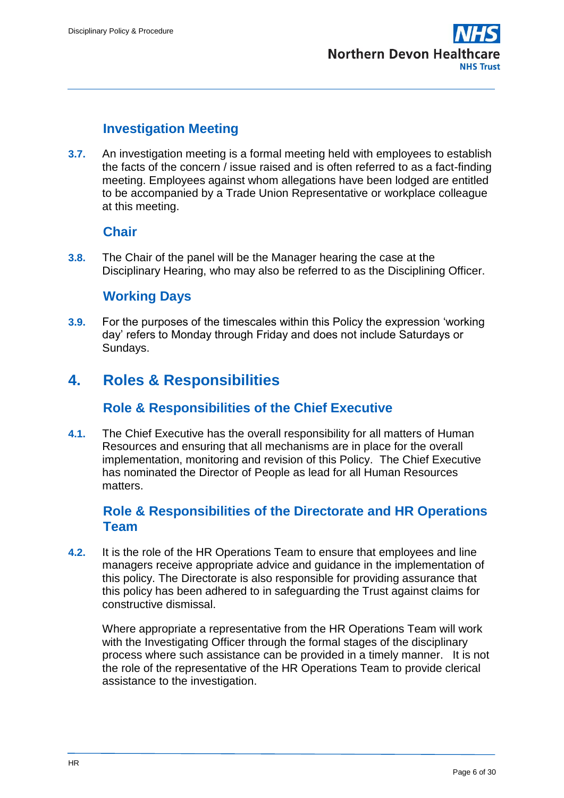

# **Investigation Meeting**

<span id="page-5-0"></span>**3.7.** An investigation meeting is a formal meeting held with employees to establish the facts of the concern / issue raised and is often referred to as a fact-finding meeting. Employees against whom allegations have been lodged are entitled to be accompanied by a Trade Union Representative or workplace colleague at this meeting.

## **Chair**

<span id="page-5-1"></span>**3.8.** The Chair of the panel will be the Manager hearing the case at the Disciplinary Hearing, who may also be referred to as the Disciplining Officer.

## **Working Days**

<span id="page-5-2"></span>**3.9.** For the purposes of the timescales within this Policy the expression 'working day' refers to Monday through Friday and does not include Saturdays or Sundays.

# <span id="page-5-3"></span>**4. Roles & Responsibilities**

### **Role & Responsibilities of the Chief Executive**

<span id="page-5-4"></span>**4.1.** The Chief Executive has the overall responsibility for all matters of Human Resources and ensuring that all mechanisms are in place for the overall implementation, monitoring and revision of this Policy. The Chief Executive has nominated the Director of People as lead for all Human Resources matters.

### <span id="page-5-5"></span>**Role & Responsibilities of the Directorate and HR Operations Team**

**4.2.** It is the role of the HR Operations Team to ensure that employees and line managers receive appropriate advice and guidance in the implementation of this policy. The Directorate is also responsible for providing assurance that this policy has been adhered to in safeguarding the Trust against claims for constructive dismissal.

Where appropriate a representative from the HR Operations Team will work with the Investigating Officer through the formal stages of the disciplinary process where such assistance can be provided in a timely manner. It is not the role of the representative of the HR Operations Team to provide clerical assistance to the investigation.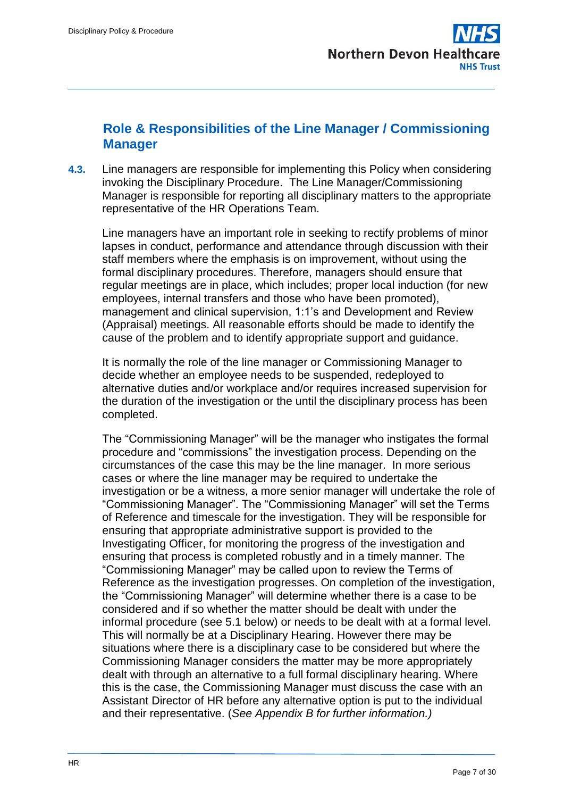## <span id="page-6-0"></span>**Role & Responsibilities of the Line Manager / Commissioning Manager**

**4.3.** Line managers are responsible for implementing this Policy when considering invoking the Disciplinary Procedure. The Line Manager/Commissioning Manager is responsible for reporting all disciplinary matters to the appropriate representative of the HR Operations Team.

Line managers have an important role in seeking to rectify problems of minor lapses in conduct, performance and attendance through discussion with their staff members where the emphasis is on improvement, without using the formal disciplinary procedures. Therefore, managers should ensure that regular meetings are in place, which includes; proper local induction (for new employees, internal transfers and those who have been promoted), management and clinical supervision, 1:1's and Development and Review (Appraisal) meetings. All reasonable efforts should be made to identify the cause of the problem and to identify appropriate support and guidance.

It is normally the role of the line manager or Commissioning Manager to decide whether an employee needs to be suspended, redeployed to alternative duties and/or workplace and/or requires increased supervision for the duration of the investigation or the until the disciplinary process has been completed.

The "Commissioning Manager" will be the manager who instigates the formal procedure and "commissions" the investigation process. Depending on the circumstances of the case this may be the line manager. In more serious cases or where the line manager may be required to undertake the investigation or be a witness, a more senior manager will undertake the role of "Commissioning Manager". The "Commissioning Manager" will set the Terms of Reference and timescale for the investigation. They will be responsible for ensuring that appropriate administrative support is provided to the Investigating Officer, for monitoring the progress of the investigation and ensuring that process is completed robustly and in a timely manner. The "Commissioning Manager" may be called upon to review the Terms of Reference as the investigation progresses. On completion of the investigation, the "Commissioning Manager" will determine whether there is a case to be considered and if so whether the matter should be dealt with under the informal procedure (see 5.1 below) or needs to be dealt with at a formal level. This will normally be at a Disciplinary Hearing. However there may be situations where there is a disciplinary case to be considered but where the Commissioning Manager considers the matter may be more appropriately dealt with through an alternative to a full formal disciplinary hearing. Where this is the case, the Commissioning Manager must discuss the case with an Assistant Director of HR before any alternative option is put to the individual and their representative. (*See Appendix B for further information.)*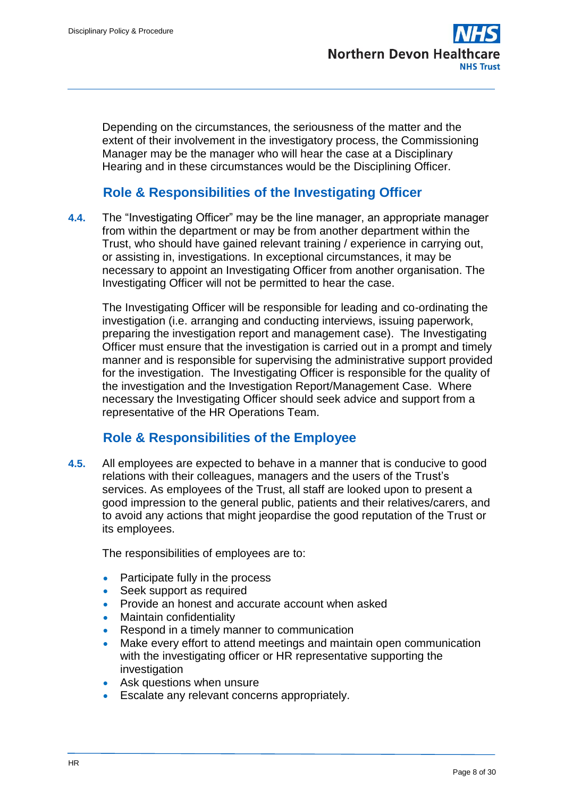Depending on the circumstances, the seriousness of the matter and the extent of their involvement in the investigatory process, the Commissioning Manager may be the manager who will hear the case at a Disciplinary Hearing and in these circumstances would be the Disciplining Officer.

## **Role & Responsibilities of the Investigating Officer**

<span id="page-7-0"></span>**4.4.** The "Investigating Officer" may be the line manager, an appropriate manager from within the department or may be from another department within the Trust, who should have gained relevant training / experience in carrying out, or assisting in, investigations. In exceptional circumstances, it may be necessary to appoint an Investigating Officer from another organisation. The Investigating Officer will not be permitted to hear the case.

The Investigating Officer will be responsible for leading and co-ordinating the investigation (i.e. arranging and conducting interviews, issuing paperwork, preparing the investigation report and management case). The Investigating Officer must ensure that the investigation is carried out in a prompt and timely manner and is responsible for supervising the administrative support provided for the investigation. The Investigating Officer is responsible for the quality of the investigation and the Investigation Report/Management Case. Where necessary the Investigating Officer should seek advice and support from a representative of the HR Operations Team.

## **Role & Responsibilities of the Employee**

<span id="page-7-1"></span>**4.5.** All employees are expected to behave in a manner that is conducive to good relations with their colleagues, managers and the users of the Trust's services. As employees of the Trust, all staff are looked upon to present a good impression to the general public, patients and their relatives/carers, and to avoid any actions that might jeopardise the good reputation of the Trust or its employees.

The responsibilities of employees are to:

- Participate fully in the process
- Seek support as required
- Provide an honest and accurate account when asked
- Maintain confidentiality
- Respond in a timely manner to communication
- Make every effort to attend meetings and maintain open communication with the investigating officer or HR representative supporting the investigation
- Ask questions when unsure
- Escalate any relevant concerns appropriately.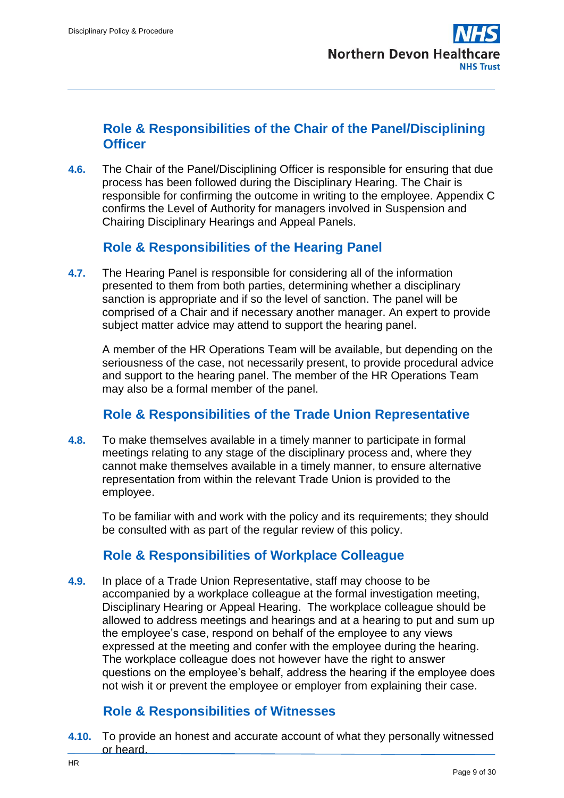

### <span id="page-8-0"></span>**Role & Responsibilities of the Chair of the Panel/Disciplining Officer**

**4.6.** The Chair of the Panel/Disciplining Officer is responsible for ensuring that due process has been followed during the Disciplinary Hearing. The Chair is responsible for confirming the outcome in writing to the employee. Appendix C confirms the Level of Authority for managers involved in Suspension and Chairing Disciplinary Hearings and Appeal Panels.

## **Role & Responsibilities of the Hearing Panel**

<span id="page-8-1"></span>**4.7.** The Hearing Panel is responsible for considering all of the information presented to them from both parties, determining whether a disciplinary sanction is appropriate and if so the level of sanction. The panel will be comprised of a Chair and if necessary another manager. An expert to provide subject matter advice may attend to support the hearing panel.

A member of the HR Operations Team will be available, but depending on the seriousness of the case, not necessarily present, to provide procedural advice and support to the hearing panel. The member of the HR Operations Team may also be a formal member of the panel.

### **Role & Responsibilities of the Trade Union Representative**

<span id="page-8-2"></span>**4.8.** To make themselves available in a timely manner to participate in formal meetings relating to any stage of the disciplinary process and, where they cannot make themselves available in a timely manner, to ensure alternative representation from within the relevant Trade Union is provided to the employee.

To be familiar with and work with the policy and its requirements; they should be consulted with as part of the regular review of this policy.

## **Role & Responsibilities of Workplace Colleague**

<span id="page-8-3"></span>**4.9.** In place of a Trade Union Representative, staff may choose to be accompanied by a workplace colleague at the formal investigation meeting, Disciplinary Hearing or Appeal Hearing. The workplace colleague should be allowed to address meetings and hearings and at a hearing to put and sum up the employee's case, respond on behalf of the employee to any views expressed at the meeting and confer with the employee during the hearing. The workplace colleague does not however have the right to answer questions on the employee's behalf, address the hearing if the employee does not wish it or prevent the employee or employer from explaining their case.

# **Role & Responsibilities of Witnesses**

<span id="page-8-4"></span>**4.10.** To provide an honest and accurate account of what they personally witnessed or heard.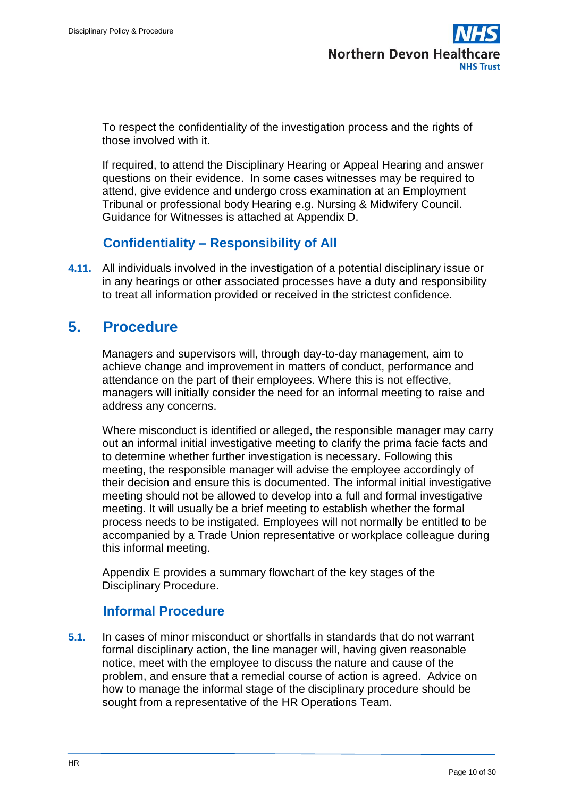To respect the confidentiality of the investigation process and the rights of those involved with it.

If required, to attend the Disciplinary Hearing or Appeal Hearing and answer questions on their evidence. In some cases witnesses may be required to attend, give evidence and undergo cross examination at an Employment Tribunal or professional body Hearing e.g. Nursing & Midwifery Council. Guidance for Witnesses is attached at Appendix D.

## **Confidentiality – Responsibility of All**

<span id="page-9-0"></span>**4.11.** All individuals involved in the investigation of a potential disciplinary issue or in any hearings or other associated processes have a duty and responsibility to treat all information provided or received in the strictest confidence.

# <span id="page-9-1"></span>**5. Procedure**

Managers and supervisors will, through day-to-day management, aim to achieve change and improvement in matters of conduct, performance and attendance on the part of their employees. Where this is not effective, managers will initially consider the need for an informal meeting to raise and address any concerns.

Where misconduct is identified or alleged, the responsible manager may carry out an informal initial investigative meeting to clarify the prima facie facts and to determine whether further investigation is necessary. Following this meeting, the responsible manager will advise the employee accordingly of their decision and ensure this is documented. The informal initial investigative meeting should not be allowed to develop into a full and formal investigative meeting. It will usually be a brief meeting to establish whether the formal process needs to be instigated. Employees will not normally be entitled to be accompanied by a Trade Union representative or workplace colleague during this informal meeting.

Appendix E provides a summary flowchart of the key stages of the Disciplinary Procedure.

# **Informal Procedure**

<span id="page-9-2"></span>**5.1.** In cases of minor misconduct or shortfalls in standards that do not warrant formal disciplinary action, the line manager will, having given reasonable notice, meet with the employee to discuss the nature and cause of the problem, and ensure that a remedial course of action is agreed. Advice on how to manage the informal stage of the disciplinary procedure should be sought from a representative of the HR Operations Team.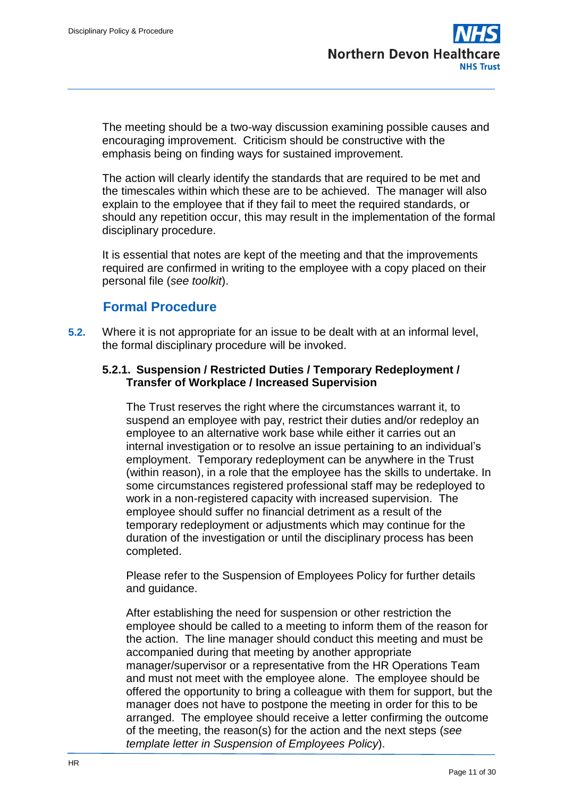The meeting should be a two-way discussion examining possible causes and encouraging improvement. Criticism should be constructive with the emphasis being on finding ways for sustained improvement.

The action will clearly identify the standards that are required to be met and the timescales within which these are to be achieved. The manager will also explain to the employee that if they fail to meet the required standards, or should any repetition occur, this may result in the implementation of the formal disciplinary procedure.

It is essential that notes are kept of the meeting and that the improvements required are confirmed in writing to the employee with a copy placed on their personal file (*see toolkit*).

## **Formal Procedure**

<span id="page-10-0"></span>**5.2.** Where it is not appropriate for an issue to be dealt with at an informal level, the formal disciplinary procedure will be invoked.

#### **5.2.1. Suspension / Restricted Duties / Temporary Redeployment / Transfer of Workplace / Increased Supervision**

The Trust reserves the right where the circumstances warrant it, to suspend an employee with pay, restrict their duties and/or redeploy an employee to an alternative work base while either it carries out an internal investigation or to resolve an issue pertaining to an individual's employment. Temporary redeployment can be anywhere in the Trust (within reason), in a role that the employee has the skills to undertake. In some circumstances registered professional staff may be redeployed to work in a non-registered capacity with increased supervision. The employee should suffer no financial detriment as a result of the temporary redeployment or adjustments which may continue for the duration of the investigation or until the disciplinary process has been completed.

Please refer to the Suspension of Employees Policy for further details and guidance.

After establishing the need for suspension or other restriction the employee should be called to a meeting to inform them of the reason for the action. The line manager should conduct this meeting and must be accompanied during that meeting by another appropriate manager/supervisor or a representative from the HR Operations Team and must not meet with the employee alone. The employee should be offered the opportunity to bring a colleague with them for support, but the manager does not have to postpone the meeting in order for this to be arranged. The employee should receive a letter confirming the outcome of the meeting, the reason(s) for the action and the next steps (*see template letter in Suspension of Employees Policy*).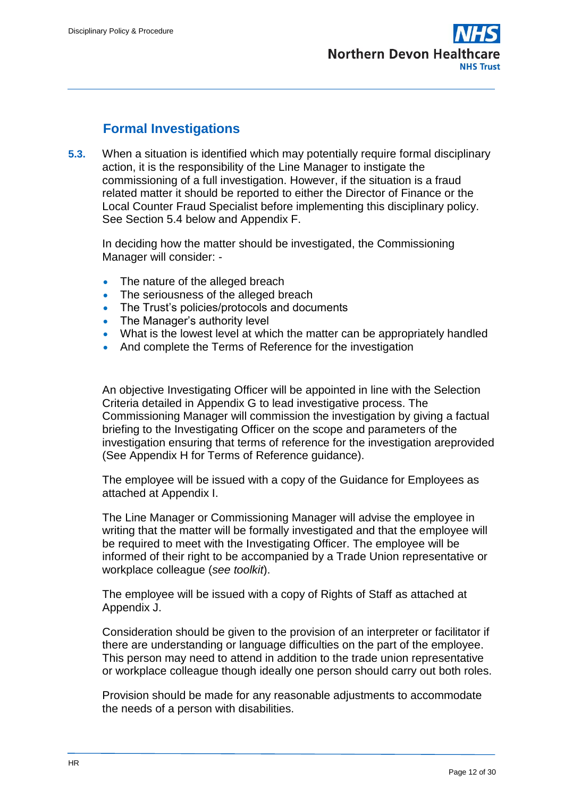# **Formal Investigations**

<span id="page-11-0"></span>**5.3.** When a situation is identified which may potentially require formal disciplinary action, it is the responsibility of the Line Manager to instigate the commissioning of a full investigation. However, if the situation is a fraud related matter it should be reported to either the Director of Finance or the Local Counter Fraud Specialist before implementing this disciplinary policy. See Section 5.4 below and Appendix F.

In deciding how the matter should be investigated, the Commissioning Manager will consider: -

- The nature of the alleged breach
- The seriousness of the alleged breach
- The Trust's policies/protocols and documents
- The Manager's authority level
- What is the lowest level at which the matter can be appropriately handled
- And complete the Terms of Reference for the investigation

An objective Investigating Officer will be appointed in line with the Selection Criteria detailed in Appendix G to lead investigative process. The Commissioning Manager will commission the investigation by giving a factual briefing to the Investigating Officer on the scope and parameters of the investigation ensuring that terms of reference for the investigation areprovided (See Appendix H for Terms of Reference guidance).

The employee will be issued with a copy of the Guidance for Employees as attached at Appendix I.

The Line Manager or Commissioning Manager will advise the employee in writing that the matter will be formally investigated and that the employee will be required to meet with the Investigating Officer. The employee will be informed of their right to be accompanied by a Trade Union representative or workplace colleague (*see toolkit*).

The employee will be issued with a copy of Rights of Staff as attached at Appendix J.

Consideration should be given to the provision of an interpreter or facilitator if there are understanding or language difficulties on the part of the employee. This person may need to attend in addition to the trade union representative or workplace colleague though ideally one person should carry out both roles.

Provision should be made for any reasonable adjustments to accommodate the needs of a person with disabilities.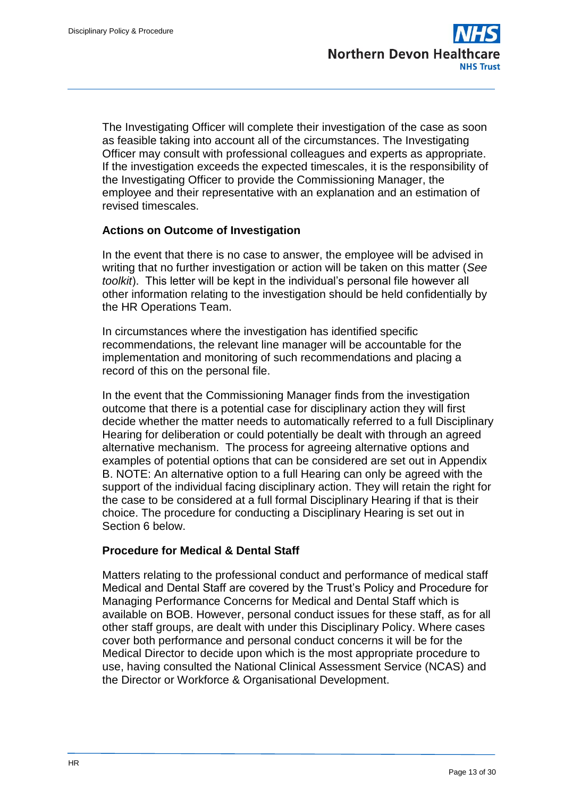The Investigating Officer will complete their investigation of the case as soon as feasible taking into account all of the circumstances. The Investigating Officer may consult with professional colleagues and experts as appropriate. If the investigation exceeds the expected timescales, it is the responsibility of the Investigating Officer to provide the Commissioning Manager, the employee and their representative with an explanation and an estimation of revised timescales.

#### **Actions on Outcome of Investigation**

In the event that there is no case to answer, the employee will be advised in writing that no further investigation or action will be taken on this matter (*See toolkit*). This letter will be kept in the individual's personal file however all other information relating to the investigation should be held confidentially by the HR Operations Team.

In circumstances where the investigation has identified specific recommendations, the relevant line manager will be accountable for the implementation and monitoring of such recommendations and placing a record of this on the personal file.

In the event that the Commissioning Manager finds from the investigation outcome that there is a potential case for disciplinary action they will first decide whether the matter needs to automatically referred to a full Disciplinary Hearing for deliberation or could potentially be dealt with through an agreed alternative mechanism. The process for agreeing alternative options and examples of potential options that can be considered are set out in Appendix B. NOTE: An alternative option to a full Hearing can only be agreed with the support of the individual facing disciplinary action. They will retain the right for the case to be considered at a full formal Disciplinary Hearing if that is their choice. The procedure for conducting a Disciplinary Hearing is set out in Section 6 below.

#### **Procedure for Medical & Dental Staff**

Matters relating to the professional conduct and performance of medical staff Medical and Dental Staff are covered by the Trust's Policy and Procedure for Managing Performance Concerns for Medical and Dental Staff which is available on BOB. However, personal conduct issues for these staff, as for all other staff groups, are dealt with under this Disciplinary Policy. Where cases cover both performance and personal conduct concerns it will be for the Medical Director to decide upon which is the most appropriate procedure to use, having consulted the National Clinical Assessment Service (NCAS) and the Director or Workforce & Organisational Development.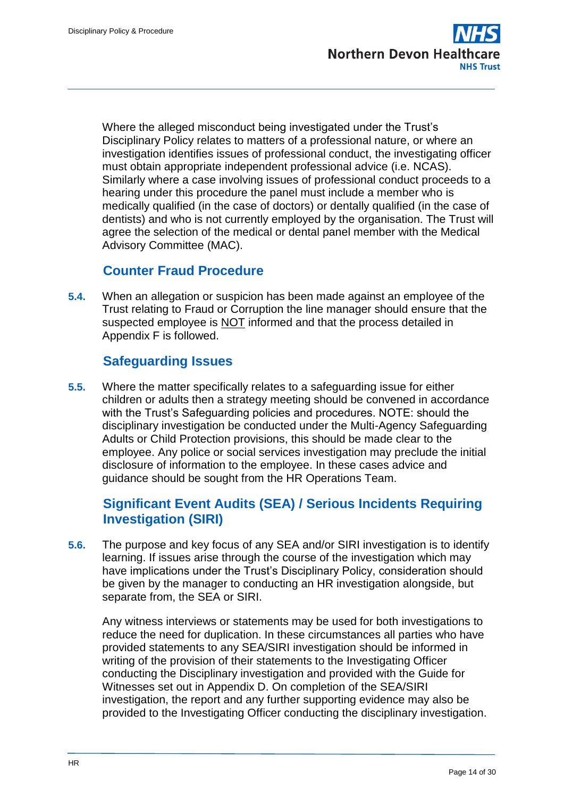Where the alleged misconduct being investigated under the Trust's Disciplinary Policy relates to matters of a professional nature, or where an investigation identifies issues of professional conduct, the investigating officer must obtain appropriate independent professional advice (i.e. NCAS). Similarly where a case involving issues of professional conduct proceeds to a hearing under this procedure the panel must include a member who is medically qualified (in the case of doctors) or dentally qualified (in the case of dentists) and who is not currently employed by the organisation. The Trust will agree the selection of the medical or dental panel member with the Medical Advisory Committee (MAC).

## **Counter Fraud Procedure**

<span id="page-13-0"></span>**5.4.** When an allegation or suspicion has been made against an employee of the Trust relating to Fraud or Corruption the line manager should ensure that the suspected employee is NOT informed and that the process detailed in Appendix F is followed.

# **Safeguarding Issues**

<span id="page-13-1"></span>**5.5.** Where the matter specifically relates to a safeguarding issue for either children or adults then a strategy meeting should be convened in accordance with the Trust's Safeguarding policies and procedures. NOTE: should the disciplinary investigation be conducted under the Multi-Agency Safeguarding Adults or Child Protection provisions, this should be made clear to the employee. Any police or social services investigation may preclude the initial disclosure of information to the employee. In these cases advice and guidance should be sought from the HR Operations Team.

## <span id="page-13-2"></span>**Significant Event Audits (SEA) / Serious Incidents Requiring Investigation (SIRI)**

**5.6.** The purpose and key focus of any SEA and/or SIRI investigation is to identify learning. If issues arise through the course of the investigation which may have implications under the Trust's Disciplinary Policy, consideration should be given by the manager to conducting an HR investigation alongside, but separate from, the SEA or SIRI.

Any witness interviews or statements may be used for both investigations to reduce the need for duplication. In these circumstances all parties who have provided statements to any SEA/SIRI investigation should be informed in writing of the provision of their statements to the Investigating Officer conducting the Disciplinary investigation and provided with the Guide for Witnesses set out in Appendix D. On completion of the SEA/SIRI investigation, the report and any further supporting evidence may also be provided to the Investigating Officer conducting the disciplinary investigation.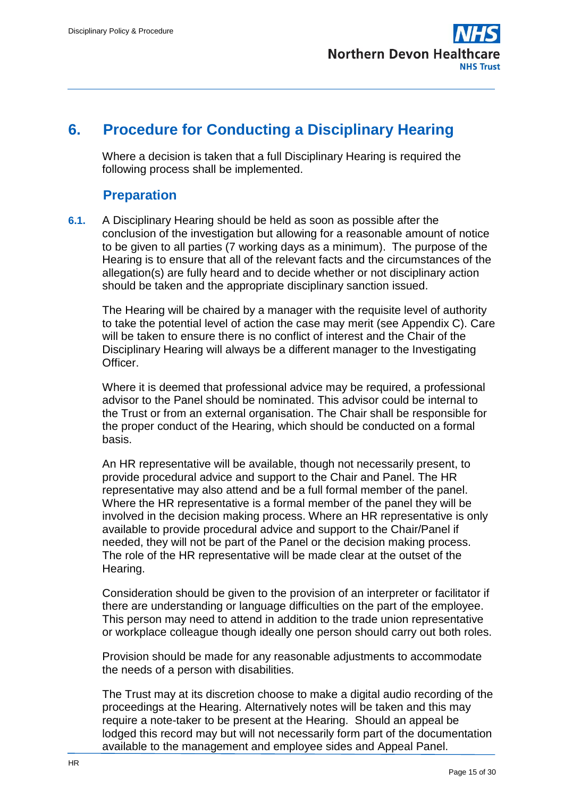

# <span id="page-14-0"></span>**6. Procedure for Conducting a Disciplinary Hearing**

Where a decision is taken that a full Disciplinary Hearing is required the following process shall be implemented.

## **Preparation**

<span id="page-14-1"></span>**6.1.** A Disciplinary Hearing should be held as soon as possible after the conclusion of the investigation but allowing for a reasonable amount of notice to be given to all parties (7 working days as a minimum). The purpose of the Hearing is to ensure that all of the relevant facts and the circumstances of the allegation(s) are fully heard and to decide whether or not disciplinary action should be taken and the appropriate disciplinary sanction issued.

The Hearing will be chaired by a manager with the requisite level of authority to take the potential level of action the case may merit (see Appendix C). Care will be taken to ensure there is no conflict of interest and the Chair of the Disciplinary Hearing will always be a different manager to the Investigating Officer.

Where it is deemed that professional advice may be required, a professional advisor to the Panel should be nominated. This advisor could be internal to the Trust or from an external organisation. The Chair shall be responsible for the proper conduct of the Hearing, which should be conducted on a formal basis.

An HR representative will be available, though not necessarily present, to provide procedural advice and support to the Chair and Panel. The HR representative may also attend and be a full formal member of the panel. Where the HR representative is a formal member of the panel they will be involved in the decision making process. Where an HR representative is only available to provide procedural advice and support to the Chair/Panel if needed, they will not be part of the Panel or the decision making process. The role of the HR representative will be made clear at the outset of the Hearing.

Consideration should be given to the provision of an interpreter or facilitator if there are understanding or language difficulties on the part of the employee. This person may need to attend in addition to the trade union representative or workplace colleague though ideally one person should carry out both roles.

Provision should be made for any reasonable adjustments to accommodate the needs of a person with disabilities.

The Trust may at its discretion choose to make a digital audio recording of the proceedings at the Hearing. Alternatively notes will be taken and this may require a note-taker to be present at the Hearing. Should an appeal be lodged this record may but will not necessarily form part of the documentation available to the management and employee sides and Appeal Panel.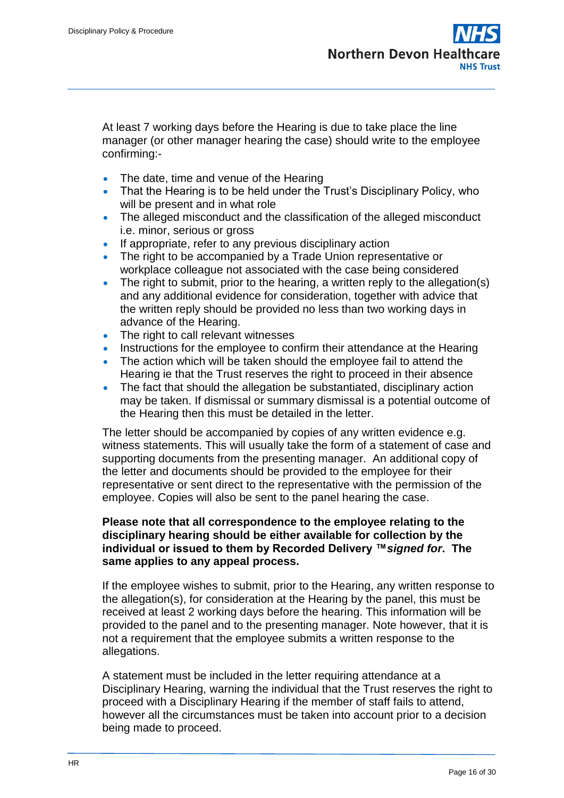At least 7 working days before the Hearing is due to take place the line manager (or other manager hearing the case) should write to the employee confirming:-

- The date, time and venue of the Hearing
- That the Hearing is to be held under the Trust's Disciplinary Policy, who will be present and in what role
- The alleged misconduct and the classification of the alleged misconduct i.e. minor, serious or gross
- If appropriate, refer to any previous disciplinary action
- The right to be accompanied by a Trade Union representative or workplace colleague not associated with the case being considered
- The right to submit, prior to the hearing, a written reply to the allegation(s) and any additional evidence for consideration, together with advice that the written reply should be provided no less than two working days in advance of the Hearing.
- The right to call relevant witnesses
- Instructions for the employee to confirm their attendance at the Hearing
- The action which will be taken should the employee fail to attend the Hearing ie that the Trust reserves the right to proceed in their absence
- The fact that should the allegation be substantiated, disciplinary action may be taken. If dismissal or summary dismissal is a potential outcome of the Hearing then this must be detailed in the letter.

The letter should be accompanied by copies of any written evidence e.g. witness statements. This will usually take the form of a statement of case and supporting documents from the presenting manager. An additional copy of the letter and documents should be provided to the employee for their representative or sent direct to the representative with the permission of the employee. Copies will also be sent to the panel hearing the case.

#### **Please note that all correspondence to the employee relating to the disciplinary hearing should be either available for collection by the individual or issued to them by Recorded Delivery ™***signed for***. The same applies to any appeal process.**

If the employee wishes to submit, prior to the Hearing, any written response to the allegation(s), for consideration at the Hearing by the panel, this must be received at least 2 working days before the hearing. This information will be provided to the panel and to the presenting manager. Note however, that it is not a requirement that the employee submits a written response to the allegations.

A statement must be included in the letter requiring attendance at a Disciplinary Hearing, warning the individual that the Trust reserves the right to proceed with a Disciplinary Hearing if the member of staff fails to attend, however all the circumstances must be taken into account prior to a decision being made to proceed.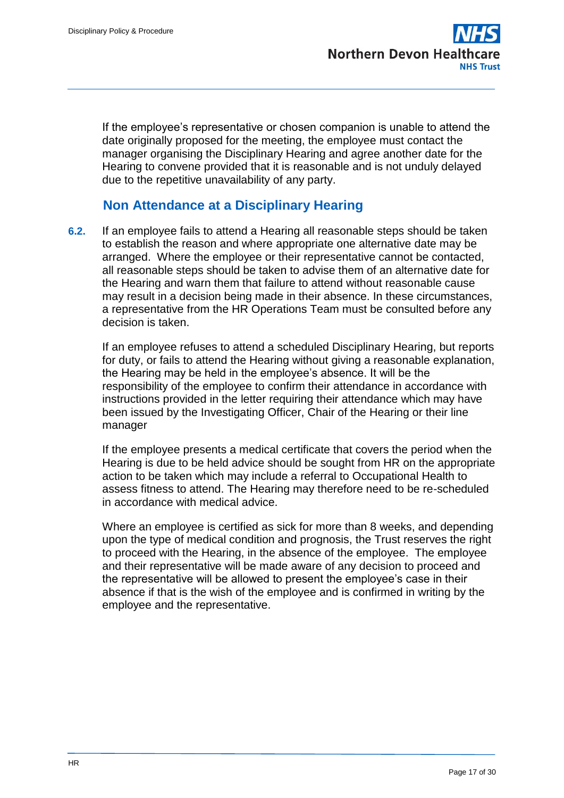If the employee's representative or chosen companion is unable to attend the date originally proposed for the meeting, the employee must contact the manager organising the Disciplinary Hearing and agree another date for the Hearing to convene provided that it is reasonable and is not unduly delayed due to the repetitive unavailability of any party.

## **Non Attendance at a Disciplinary Hearing**

<span id="page-16-0"></span>**6.2.** If an employee fails to attend a Hearing all reasonable steps should be taken to establish the reason and where appropriate one alternative date may be arranged. Where the employee or their representative cannot be contacted, all reasonable steps should be taken to advise them of an alternative date for the Hearing and warn them that failure to attend without reasonable cause may result in a decision being made in their absence. In these circumstances, a representative from the HR Operations Team must be consulted before any decision is taken.

If an employee refuses to attend a scheduled Disciplinary Hearing, but reports for duty, or fails to attend the Hearing without giving a reasonable explanation, the Hearing may be held in the employee's absence. It will be the responsibility of the employee to confirm their attendance in accordance with instructions provided in the letter requiring their attendance which may have been issued by the Investigating Officer, Chair of the Hearing or their line manager

If the employee presents a medical certificate that covers the period when the Hearing is due to be held advice should be sought from HR on the appropriate action to be taken which may include a referral to Occupational Health to assess fitness to attend. The Hearing may therefore need to be re-scheduled in accordance with medical advice.

Where an employee is certified as sick for more than 8 weeks, and depending upon the type of medical condition and prognosis, the Trust reserves the right to proceed with the Hearing, in the absence of the employee. The employee and their representative will be made aware of any decision to proceed and the representative will be allowed to present the employee's case in their absence if that is the wish of the employee and is confirmed in writing by the employee and the representative.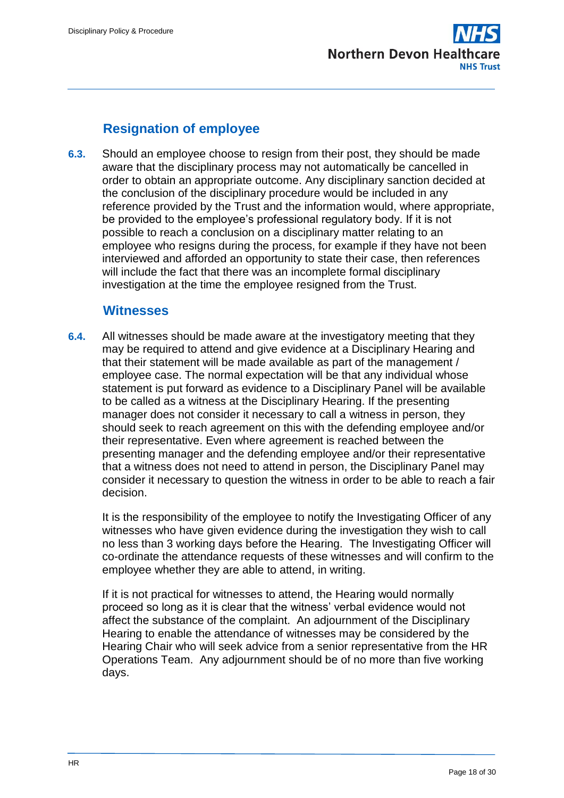

# **Resignation of employee**

<span id="page-17-0"></span>**6.3.** Should an employee choose to resign from their post, they should be made aware that the disciplinary process may not automatically be cancelled in order to obtain an appropriate outcome. Any disciplinary sanction decided at the conclusion of the disciplinary procedure would be included in any reference provided by the Trust and the information would, where appropriate, be provided to the employee's professional regulatory body. If it is not possible to reach a conclusion on a disciplinary matter relating to an employee who resigns during the process, for example if they have not been interviewed and afforded an opportunity to state their case, then references will include the fact that there was an incomplete formal disciplinary investigation at the time the employee resigned from the Trust.

### **Witnesses**

<span id="page-17-1"></span>**6.4.** All witnesses should be made aware at the investigatory meeting that they may be required to attend and give evidence at a Disciplinary Hearing and that their statement will be made available as part of the management / employee case. The normal expectation will be that any individual whose statement is put forward as evidence to a Disciplinary Panel will be available to be called as a witness at the Disciplinary Hearing. If the presenting manager does not consider it necessary to call a witness in person, they should seek to reach agreement on this with the defending employee and/or their representative. Even where agreement is reached between the presenting manager and the defending employee and/or their representative that a witness does not need to attend in person, the Disciplinary Panel may consider it necessary to question the witness in order to be able to reach a fair decision.

It is the responsibility of the employee to notify the Investigating Officer of any witnesses who have given evidence during the investigation they wish to call no less than 3 working days before the Hearing. The Investigating Officer will co-ordinate the attendance requests of these witnesses and will confirm to the employee whether they are able to attend, in writing.

If it is not practical for witnesses to attend, the Hearing would normally proceed so long as it is clear that the witness' verbal evidence would not affect the substance of the complaint. An adjournment of the Disciplinary Hearing to enable the attendance of witnesses may be considered by the Hearing Chair who will seek advice from a senior representative from the HR Operations Team. Any adjournment should be of no more than five working days.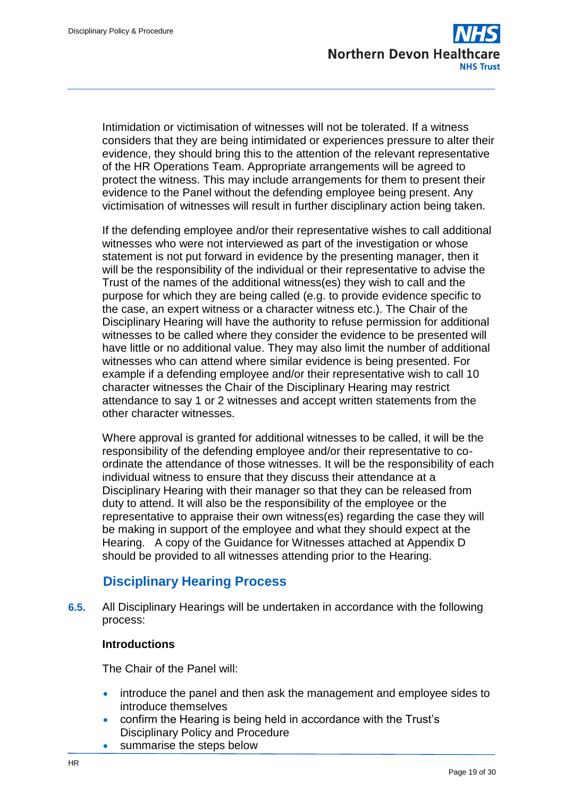

Intimidation or victimisation of witnesses will not be tolerated. If a witness considers that they are being intimidated or experiences pressure to alter their evidence, they should bring this to the attention of the relevant representative of the HR Operations Team. Appropriate arrangements will be agreed to protect the witness. This may include arrangements for them to present their evidence to the Panel without the defending employee being present. Any victimisation of witnesses will result in further disciplinary action being taken.

If the defending employee and/or their representative wishes to call additional witnesses who were not interviewed as part of the investigation or whose statement is not put forward in evidence by the presenting manager, then it will be the responsibility of the individual or their representative to advise the Trust of the names of the additional witness(es) they wish to call and the purpose for which they are being called (e.g. to provide evidence specific to the case, an expert witness or a character witness etc.). The Chair of the Disciplinary Hearing will have the authority to refuse permission for additional witnesses to be called where they consider the evidence to be presented will have little or no additional value. They may also limit the number of additional witnesses who can attend where similar evidence is being presented. For example if a defending employee and/or their representative wish to call 10 character witnesses the Chair of the Disciplinary Hearing may restrict attendance to say 1 or 2 witnesses and accept written statements from the other character witnesses.

Where approval is granted for additional witnesses to be called, it will be the responsibility of the defending employee and/or their representative to coordinate the attendance of those witnesses. It will be the responsibility of each individual witness to ensure that they discuss their attendance at a Disciplinary Hearing with their manager so that they can be released from duty to attend. It will also be the responsibility of the employee or the representative to appraise their own witness(es) regarding the case they will be making in support of the employee and what they should expect at the Hearing. A copy of the Guidance for Witnesses attached at Appendix D should be provided to all witnesses attending prior to the Hearing.

## **Disciplinary Hearing Process**

<span id="page-18-0"></span>**6.5.** All Disciplinary Hearings will be undertaken in accordance with the following process:

#### **Introductions**

The Chair of the Panel will:

- introduce the panel and then ask the management and employee sides to introduce themselves
- confirm the Hearing is being held in accordance with the Trust's Disciplinary Policy and Procedure
- summarise the steps below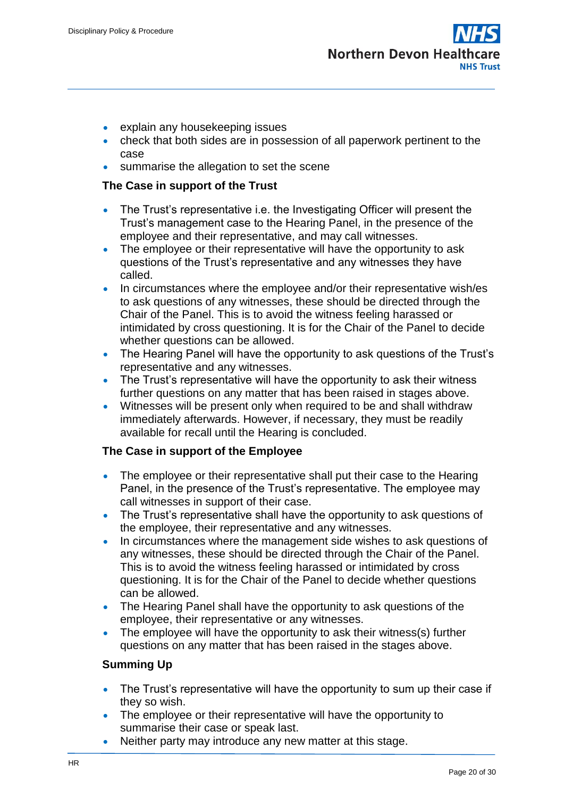

- explain any housekeeping issues
- check that both sides are in possession of all paperwork pertinent to the case
- summarise the allegation to set the scene

#### **The Case in support of the Trust**

- The Trust's representative i.e. the Investigating Officer will present the Trust's management case to the Hearing Panel, in the presence of the employee and their representative, and may call witnesses.
- The employee or their representative will have the opportunity to ask questions of the Trust's representative and any witnesses they have called.
- In circumstances where the employee and/or their representative wish/es to ask questions of any witnesses, these should be directed through the Chair of the Panel. This is to avoid the witness feeling harassed or intimidated by cross questioning. It is for the Chair of the Panel to decide whether questions can be allowed.
- The Hearing Panel will have the opportunity to ask questions of the Trust's representative and any witnesses.
- The Trust's representative will have the opportunity to ask their witness further questions on any matter that has been raised in stages above.
- Witnesses will be present only when required to be and shall withdraw immediately afterwards. However, if necessary, they must be readily available for recall until the Hearing is concluded.

#### **The Case in support of the Employee**

- The employee or their representative shall put their case to the Hearing Panel, in the presence of the Trust's representative. The employee may call witnesses in support of their case.
- The Trust's representative shall have the opportunity to ask questions of the employee, their representative and any witnesses.
- In circumstances where the management side wishes to ask questions of any witnesses, these should be directed through the Chair of the Panel. This is to avoid the witness feeling harassed or intimidated by cross questioning. It is for the Chair of the Panel to decide whether questions can be allowed.
- The Hearing Panel shall have the opportunity to ask questions of the employee, their representative or any witnesses.
- The employee will have the opportunity to ask their witness(s) further questions on any matter that has been raised in the stages above.

#### **Summing Up**

- The Trust's representative will have the opportunity to sum up their case if they so wish.
- The employee or their representative will have the opportunity to summarise their case or speak last.
- Neither party may introduce any new matter at this stage.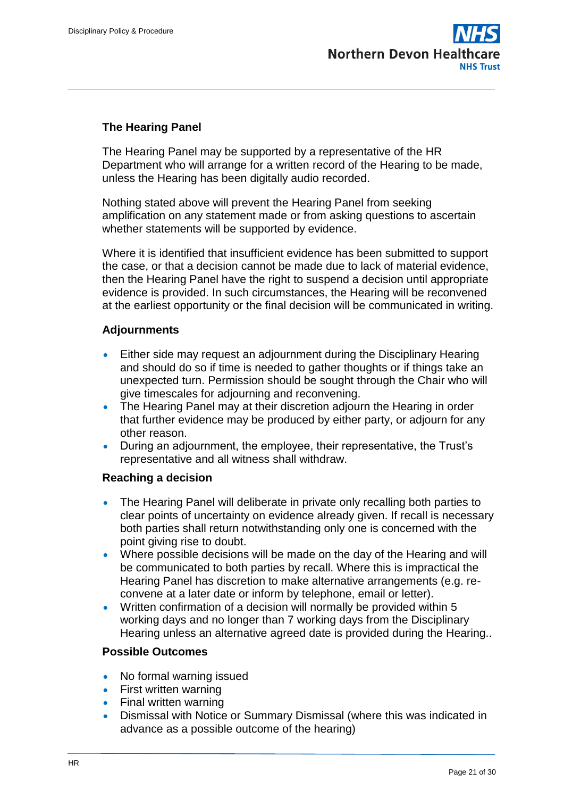

#### **The Hearing Panel**

The Hearing Panel may be supported by a representative of the HR Department who will arrange for a written record of the Hearing to be made, unless the Hearing has been digitally audio recorded.

Nothing stated above will prevent the Hearing Panel from seeking amplification on any statement made or from asking questions to ascertain whether statements will be supported by evidence.

Where it is identified that insufficient evidence has been submitted to support the case, or that a decision cannot be made due to lack of material evidence, then the Hearing Panel have the right to suspend a decision until appropriate evidence is provided. In such circumstances, the Hearing will be reconvened at the earliest opportunity or the final decision will be communicated in writing.

#### **Adjournments**

- Either side may request an adjournment during the Disciplinary Hearing and should do so if time is needed to gather thoughts or if things take an unexpected turn. Permission should be sought through the Chair who will give timescales for adjourning and reconvening.
- The Hearing Panel may at their discretion adjourn the Hearing in order that further evidence may be produced by either party, or adjourn for any other reason.
- During an adjournment, the employee, their representative, the Trust's representative and all witness shall withdraw.

#### **Reaching a decision**

- The Hearing Panel will deliberate in private only recalling both parties to clear points of uncertainty on evidence already given. If recall is necessary both parties shall return notwithstanding only one is concerned with the point giving rise to doubt.
- Where possible decisions will be made on the day of the Hearing and will be communicated to both parties by recall. Where this is impractical the Hearing Panel has discretion to make alternative arrangements (e.g. reconvene at a later date or inform by telephone, email or letter).
- Written confirmation of a decision will normally be provided within 5 working days and no longer than 7 working days from the Disciplinary Hearing unless an alternative agreed date is provided during the Hearing..

#### **Possible Outcomes**

- No formal warning issued
- First written warning
- Final written warning
- Dismissal with Notice or Summary Dismissal (where this was indicated in advance as a possible outcome of the hearing)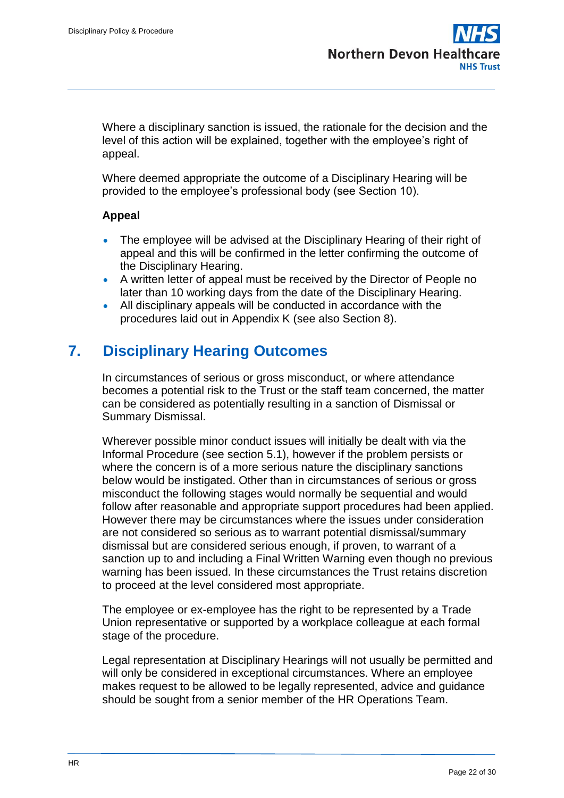Where a disciplinary sanction is issued, the rationale for the decision and the level of this action will be explained, together with the employee's right of appeal.

Where deemed appropriate the outcome of a Disciplinary Hearing will be provided to the employee's professional body (see Section 10).

#### **Appeal**

- The employee will be advised at the Disciplinary Hearing of their right of appeal and this will be confirmed in the letter confirming the outcome of the Disciplinary Hearing.
- A written letter of appeal must be received by the Director of People no later than 10 working days from the date of the Disciplinary Hearing.
- All disciplinary appeals will be conducted in accordance with the procedures laid out in Appendix K (see also Section 8).

# <span id="page-21-0"></span>**7. Disciplinary Hearing Outcomes**

In circumstances of serious or gross misconduct, or where attendance becomes a potential risk to the Trust or the staff team concerned, the matter can be considered as potentially resulting in a sanction of Dismissal or Summary Dismissal.

Wherever possible minor conduct issues will initially be dealt with via the Informal Procedure (see section 5.1), however if the problem persists or where the concern is of a more serious nature the disciplinary sanctions below would be instigated. Other than in circumstances of serious or gross misconduct the following stages would normally be sequential and would follow after reasonable and appropriate support procedures had been applied. However there may be circumstances where the issues under consideration are not considered so serious as to warrant potential dismissal/summary dismissal but are considered serious enough, if proven, to warrant of a sanction up to and including a Final Written Warning even though no previous warning has been issued. In these circumstances the Trust retains discretion to proceed at the level considered most appropriate.

The employee or ex-employee has the right to be represented by a Trade Union representative or supported by a workplace colleague at each formal stage of the procedure.

Legal representation at Disciplinary Hearings will not usually be permitted and will only be considered in exceptional circumstances. Where an employee makes request to be allowed to be legally represented, advice and guidance should be sought from a senior member of the HR Operations Team.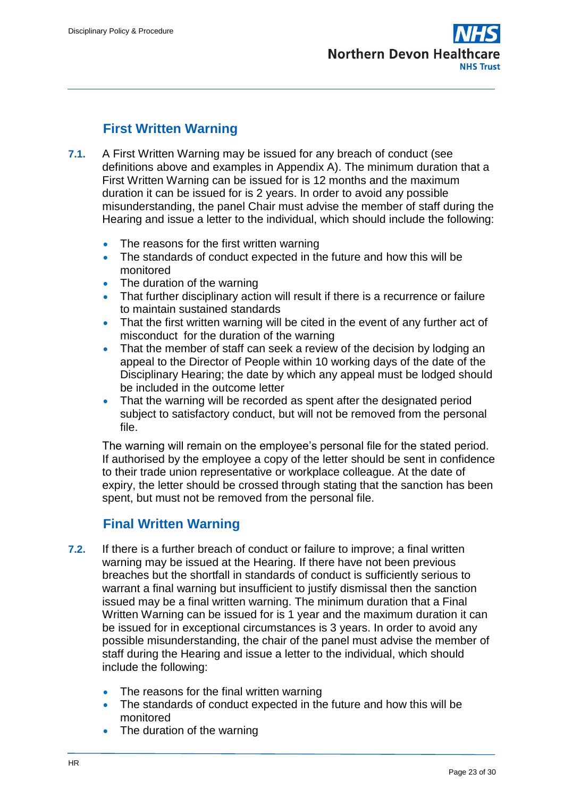

# **First Written Warning**

- <span id="page-22-0"></span>**7.1.** A First Written Warning may be issued for any breach of conduct (see definitions above and examples in Appendix A). The minimum duration that a First Written Warning can be issued for is 12 months and the maximum duration it can be issued for is 2 years. In order to avoid any possible misunderstanding, the panel Chair must advise the member of staff during the Hearing and issue a letter to the individual, which should include the following:
	- The reasons for the first written warning
	- The standards of conduct expected in the future and how this will be monitored
	- The duration of the warning
	- That further disciplinary action will result if there is a recurrence or failure to maintain sustained standards
	- That the first written warning will be cited in the event of any further act of misconduct for the duration of the warning
	- That the member of staff can seek a review of the decision by lodging an appeal to the Director of People within 10 working days of the date of the Disciplinary Hearing; the date by which any appeal must be lodged should be included in the outcome letter
	- That the warning will be recorded as spent after the designated period subject to satisfactory conduct, but will not be removed from the personal file.

The warning will remain on the employee's personal file for the stated period. If authorised by the employee a copy of the letter should be sent in confidence to their trade union representative or workplace colleague. At the date of expiry, the letter should be crossed through stating that the sanction has been spent, but must not be removed from the personal file.

## **Final Written Warning**

- <span id="page-22-1"></span>**7.2.** If there is a further breach of conduct or failure to improve; a final written warning may be issued at the Hearing. If there have not been previous breaches but the shortfall in standards of conduct is sufficiently serious to warrant a final warning but insufficient to justify dismissal then the sanction issued may be a final written warning. The minimum duration that a Final Written Warning can be issued for is 1 year and the maximum duration it can be issued for in exceptional circumstances is 3 years. In order to avoid any possible misunderstanding, the chair of the panel must advise the member of staff during the Hearing and issue a letter to the individual, which should include the following:
	- The reasons for the final written warning
	- The standards of conduct expected in the future and how this will be monitored
	- The duration of the warning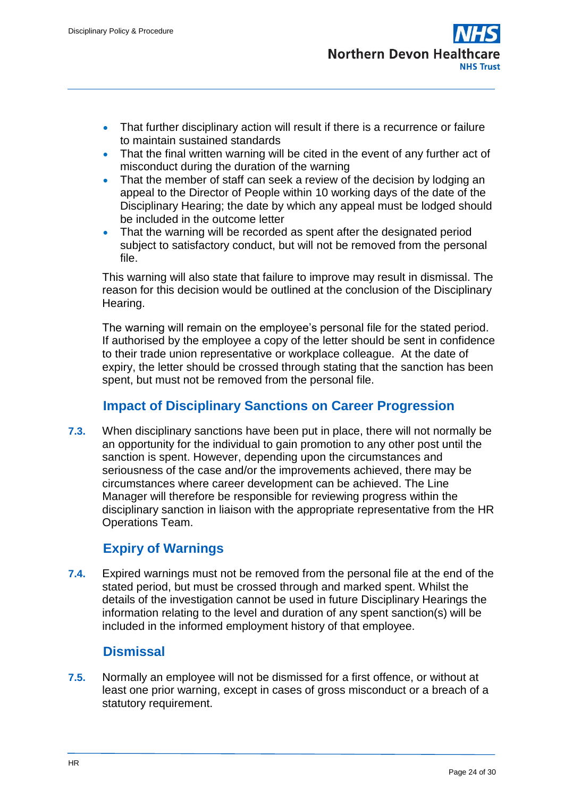- That further disciplinary action will result if there is a recurrence or failure to maintain sustained standards
- That the final written warning will be cited in the event of any further act of misconduct during the duration of the warning
- That the member of staff can seek a review of the decision by lodging an appeal to the Director of People within 10 working days of the date of the Disciplinary Hearing; the date by which any appeal must be lodged should be included in the outcome letter
- That the warning will be recorded as spent after the designated period subject to satisfactory conduct, but will not be removed from the personal file.

This warning will also state that failure to improve may result in dismissal. The reason for this decision would be outlined at the conclusion of the Disciplinary Hearing.

The warning will remain on the employee's personal file for the stated period. If authorised by the employee a copy of the letter should be sent in confidence to their trade union representative or workplace colleague. At the date of expiry, the letter should be crossed through stating that the sanction has been spent, but must not be removed from the personal file.

# **Impact of Disciplinary Sanctions on Career Progression**

<span id="page-23-0"></span>**7.3.** When disciplinary sanctions have been put in place, there will not normally be an opportunity for the individual to gain promotion to any other post until the sanction is spent. However, depending upon the circumstances and seriousness of the case and/or the improvements achieved, there may be circumstances where career development can be achieved. The Line Manager will therefore be responsible for reviewing progress within the disciplinary sanction in liaison with the appropriate representative from the HR Operations Team.

## **Expiry of Warnings**

<span id="page-23-1"></span>**7.4.** Expired warnings must not be removed from the personal file at the end of the stated period, but must be crossed through and marked spent. Whilst the details of the investigation cannot be used in future Disciplinary Hearings the information relating to the level and duration of any spent sanction(s) will be included in the informed employment history of that employee.

## **Dismissal**

<span id="page-23-2"></span>**7.5.** Normally an employee will not be dismissed for a first offence, or without at least one prior warning, except in cases of gross misconduct or a breach of a statutory requirement.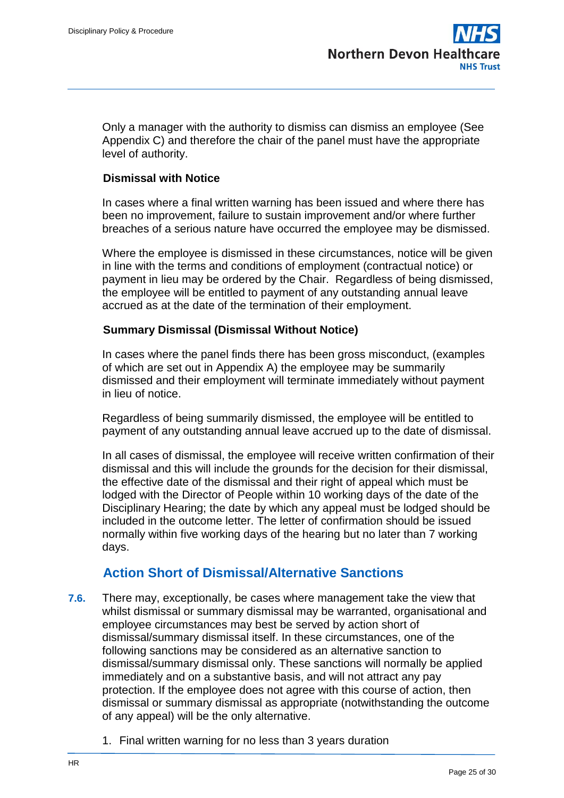Only a manager with the authority to dismiss can dismiss an employee (See Appendix C) and therefore the chair of the panel must have the appropriate level of authority.

#### <span id="page-24-0"></span>**Dismissal with Notice**

In cases where a final written warning has been issued and where there has been no improvement, failure to sustain improvement and/or where further breaches of a serious nature have occurred the employee may be dismissed.

Where the employee is dismissed in these circumstances, notice will be given in line with the terms and conditions of employment (contractual notice) or payment in lieu may be ordered by the Chair. Regardless of being dismissed, the employee will be entitled to payment of any outstanding annual leave accrued as at the date of the termination of their employment.

#### <span id="page-24-1"></span>**Summary Dismissal (Dismissal Without Notice)**

In cases where the panel finds there has been gross misconduct, (examples of which are set out in Appendix A) the employee may be summarily dismissed and their employment will terminate immediately without payment in lieu of notice.

Regardless of being summarily dismissed, the employee will be entitled to payment of any outstanding annual leave accrued up to the date of dismissal.

In all cases of dismissal, the employee will receive written confirmation of their dismissal and this will include the grounds for the decision for their dismissal, the effective date of the dismissal and their right of appeal which must be lodged with the Director of People within 10 working days of the date of the Disciplinary Hearing; the date by which any appeal must be lodged should be included in the outcome letter. The letter of confirmation should be issued normally within five working days of the hearing but no later than 7 working days.

## **Action Short of Dismissal/Alternative Sanctions**

- <span id="page-24-2"></span>**7.6.** There may, exceptionally, be cases where management take the view that whilst dismissal or summary dismissal may be warranted, organisational and employee circumstances may best be served by action short of dismissal/summary dismissal itself. In these circumstances, one of the following sanctions may be considered as an alternative sanction to dismissal/summary dismissal only. These sanctions will normally be applied immediately and on a substantive basis, and will not attract any pay protection. If the employee does not agree with this course of action, then dismissal or summary dismissal as appropriate (notwithstanding the outcome of any appeal) will be the only alternative.
	- 1. Final written warning for no less than 3 years duration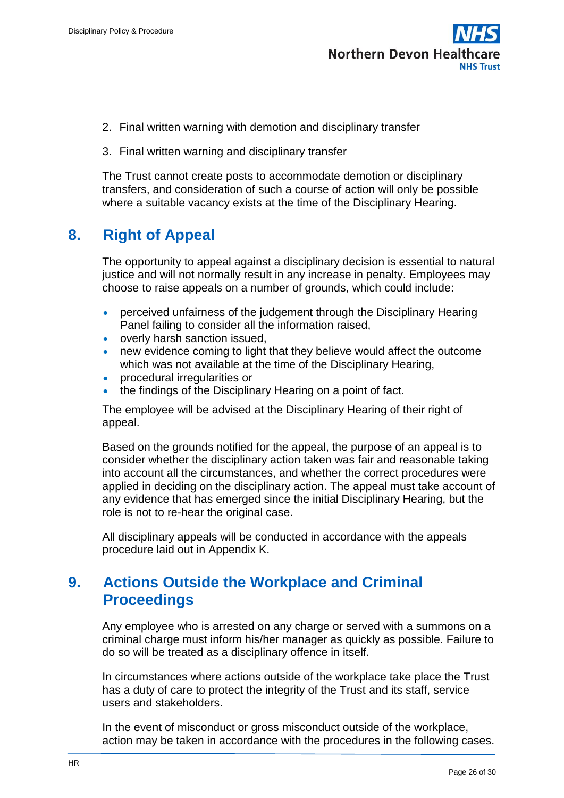

- 2. Final written warning with demotion and disciplinary transfer
- 3. Final written warning and disciplinary transfer

The Trust cannot create posts to accommodate demotion or disciplinary transfers, and consideration of such a course of action will only be possible where a suitable vacancy exists at the time of the Disciplinary Hearing.

# <span id="page-25-0"></span>**8. Right of Appeal**

The opportunity to appeal against a disciplinary decision is essential to natural justice and will not normally result in any increase in penalty. Employees may choose to raise appeals on a number of grounds, which could include:

- perceived unfairness of the judgement through the Disciplinary Hearing Panel failing to consider all the information raised,
- overly harsh sanction issued,
- new evidence coming to light that they believe would affect the outcome which was not available at the time of the Disciplinary Hearing,
- procedural irregularities or
- the findings of the Disciplinary Hearing on a point of fact.

The employee will be advised at the Disciplinary Hearing of their right of appeal.

Based on the grounds notified for the appeal, the purpose of an appeal is to consider whether the disciplinary action taken was fair and reasonable taking into account all the circumstances, and whether the correct procedures were applied in deciding on the disciplinary action. The appeal must take account of any evidence that has emerged since the initial Disciplinary Hearing, but the role is not to re-hear the original case.

All disciplinary appeals will be conducted in accordance with the appeals procedure laid out in Appendix K.

# <span id="page-25-1"></span>**9. Actions Outside the Workplace and Criminal Proceedings**

Any employee who is arrested on any charge or served with a summons on a criminal charge must inform his/her manager as quickly as possible. Failure to do so will be treated as a disciplinary offence in itself.

In circumstances where actions outside of the workplace take place the Trust has a duty of care to protect the integrity of the Trust and its staff, service users and stakeholders.

In the event of misconduct or gross misconduct outside of the workplace, action may be taken in accordance with the procedures in the following cases.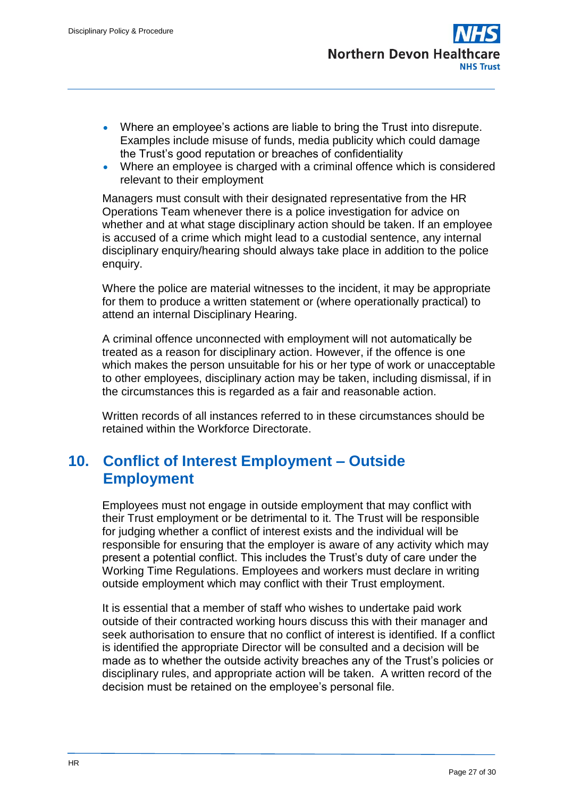- Where an employee's actions are liable to bring the Trust into disrepute. Examples include misuse of funds, media publicity which could damage the Trust's good reputation or breaches of confidentiality
- Where an employee is charged with a criminal offence which is considered relevant to their employment

Managers must consult with their designated representative from the HR Operations Team whenever there is a police investigation for advice on whether and at what stage disciplinary action should be taken. If an employee is accused of a crime which might lead to a custodial sentence, any internal disciplinary enquiry/hearing should always take place in addition to the police enquiry.

Where the police are material witnesses to the incident, it may be appropriate for them to produce a written statement or (where operationally practical) to attend an internal Disciplinary Hearing.

A criminal offence unconnected with employment will not automatically be treated as a reason for disciplinary action. However, if the offence is one which makes the person unsuitable for his or her type of work or unacceptable to other employees, disciplinary action may be taken, including dismissal, if in the circumstances this is regarded as a fair and reasonable action.

Written records of all instances referred to in these circumstances should be retained within the Workforce Directorate.

# <span id="page-26-0"></span>**10. Conflict of Interest Employment – Outside Employment**

Employees must not engage in outside employment that may conflict with their Trust employment or be detrimental to it. The Trust will be responsible for judging whether a conflict of interest exists and the individual will be responsible for ensuring that the employer is aware of any activity which may present a potential conflict. This includes the Trust's duty of care under the Working Time Regulations. Employees and workers must declare in writing outside employment which may conflict with their Trust employment.

It is essential that a member of staff who wishes to undertake paid work outside of their contracted working hours discuss this with their manager and seek authorisation to ensure that no conflict of interest is identified. If a conflict is identified the appropriate Director will be consulted and a decision will be made as to whether the outside activity breaches any of the Trust's policies or disciplinary rules, and appropriate action will be taken. A written record of the decision must be retained on the employee's personal file.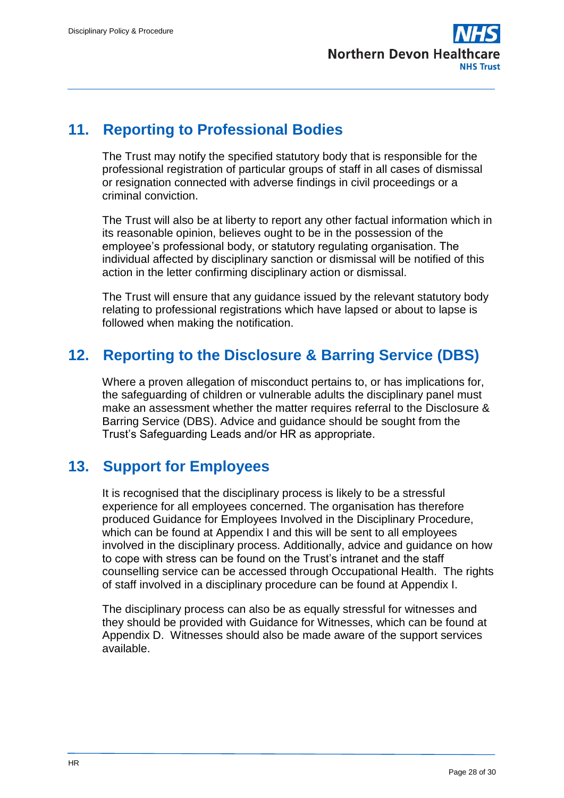

# <span id="page-27-0"></span>**11. Reporting to Professional Bodies**

The Trust may notify the specified statutory body that is responsible for the professional registration of particular groups of staff in all cases of dismissal or resignation connected with adverse findings in civil proceedings or a criminal conviction.

The Trust will also be at liberty to report any other factual information which in its reasonable opinion, believes ought to be in the possession of the employee's professional body, or statutory regulating organisation. The individual affected by disciplinary sanction or dismissal will be notified of this action in the letter confirming disciplinary action or dismissal.

The Trust will ensure that any guidance issued by the relevant statutory body relating to professional registrations which have lapsed or about to lapse is followed when making the notification.

# <span id="page-27-1"></span>**12. Reporting to the Disclosure & Barring Service (DBS)**

Where a proven allegation of misconduct pertains to, or has implications for, the safeguarding of children or vulnerable adults the disciplinary panel must make an assessment whether the matter requires referral to the Disclosure & Barring Service (DBS). Advice and guidance should be sought from the Trust's Safeguarding Leads and/or HR as appropriate.

# <span id="page-27-2"></span>**13. Support for Employees**

It is recognised that the disciplinary process is likely to be a stressful experience for all employees concerned. The organisation has therefore produced Guidance for Employees Involved in the Disciplinary Procedure, which can be found at Appendix I and this will be sent to all employees involved in the disciplinary process. Additionally, advice and guidance on how to cope with stress can be found on the Trust's intranet and the staff counselling service can be accessed through Occupational Health. The rights of staff involved in a disciplinary procedure can be found at Appendix I.

The disciplinary process can also be as equally stressful for witnesses and they should be provided with Guidance for Witnesses, which can be found at Appendix D. Witnesses should also be made aware of the support services available.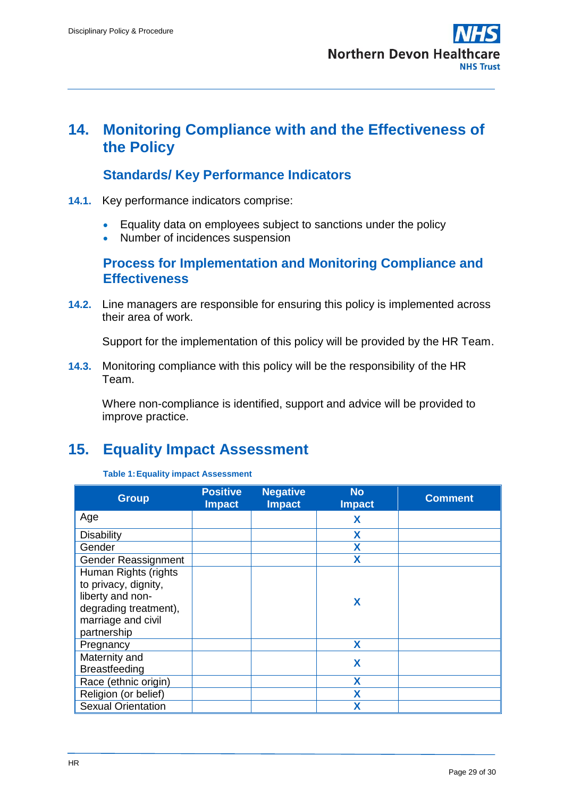# <span id="page-28-0"></span>**14. Monitoring Compliance with and the Effectiveness of the Policy**

## **Standards/ Key Performance Indicators**

- <span id="page-28-1"></span>**14.1.** Key performance indicators comprise:
	- Equality data on employees subject to sanctions under the policy
	- Number of incidences suspension

### <span id="page-28-2"></span>**Process for Implementation and Monitoring Compliance and Effectiveness**

**14.2.** Line managers are responsible for ensuring this policy is implemented across their area of work.

Support for the implementation of this policy will be provided by the HR Team.

**14.3.** Monitoring compliance with this policy will be the responsibility of the HR Team.

Where non-compliance is identified, support and advice will be provided to improve practice.

# <span id="page-28-3"></span>**15. Equality Impact Assessment**

#### **Table 1:Equality impact Assessment**

| <b>Group</b>               | <b>Positive</b><br><b>Impact</b> | <b>Negative</b><br><b>Impact</b> | <b>No</b><br><b>Impact</b> | <b>Comment</b> |
|----------------------------|----------------------------------|----------------------------------|----------------------------|----------------|
| Age                        |                                  |                                  | X                          |                |
| <b>Disability</b>          |                                  |                                  | X                          |                |
| Gender                     |                                  |                                  | X                          |                |
| <b>Gender Reassignment</b> |                                  |                                  | X                          |                |
| Human Rights (rights       |                                  |                                  |                            |                |
| to privacy, dignity,       |                                  |                                  | X                          |                |
| liberty and non-           |                                  |                                  |                            |                |
| degrading treatment),      |                                  |                                  |                            |                |
| marriage and civil         |                                  |                                  |                            |                |
| partnership                |                                  |                                  |                            |                |
| Pregnancy                  |                                  |                                  | X                          |                |
| Maternity and              |                                  |                                  | X                          |                |
| <b>Breastfeeding</b>       |                                  |                                  |                            |                |
| Race (ethnic origin)       |                                  |                                  | χ                          |                |
| Religion (or belief)       |                                  |                                  | Χ                          |                |
| <b>Sexual Orientation</b>  |                                  |                                  | χ                          |                |